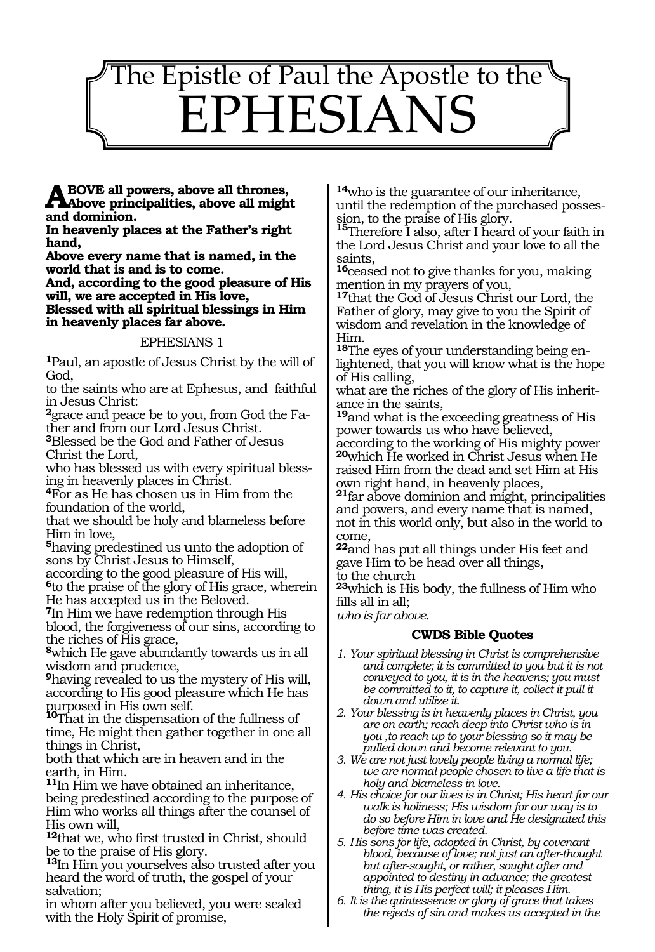# $\overline{a}$ The Epistle of Paul the Apostle to the EPHESIANS

**Above all powers, above all thrones, Above principalities, above all might and dominion.**

**In heavenly places at the Father's right hand,**

**Above every name that is named, in the world that is and is to come.**

**And, according to the good pleasure of His will, we are accepted in His love,**

**Blessed with all spiritual blessings in Him in heavenly places far above.**

#### EPHESIANS 1

**<sup>1</sup>**Paul, an apostle of Jesus Christ by the will of God,

to the saints who are at Ephesus, and faithful in Jesus Christ:

**2**grace and peace be to you, from God the Father and from our Lord Jesus Christ.

**<sup>3</sup>**Blessed be the God and Father of Jesus Christ the Lord,

who has blessed us with every spiritual blessing in heavenly places in Christ.

**<sup>4</sup>**For as He has chosen us in Him from the foundation of the world,

that we should be holy and blameless before Him in love,

**<sup>5</sup>**having predestined us unto the adoption of sons by Christ Jesus to Himself,

according to the good pleasure of His will, **<sup>6</sup>**to the praise of the glory of His grace, wherein

He has accepted us in the Beloved.

**<sup>7</sup>**In Him we have redemption through His blood, the forgiveness of our sins, according to the riches of His grace,

**<sup>8</sup>**which He gave abundantly towards us in all wisdom and prudence,

**<sup>9</sup>**having revealed to us the mystery of His will, according to His good pleasure which He has

purposed in His own self. **<sup>10</sup>**That in the dispensation of the fullness of time, He might then gather together in one all things in Christ,

both that which are in heaven and in the earth, in Him.

**<sup>11</sup>**In Him we have obtained an inheritance, being predestined according to the purpose of Him who works all things after the counsel of His own will,

**<sup>12</sup>**that we, who first trusted in Christ, should be to the praise of His glory.

**<sup>13</sup>**In Him you yourselves also trusted after you heard the word of truth, the gospel of your salvation;

in whom after you believed, you were sealed with the Holy Spirit of promise,

**<sup>14</sup>**who is the guarantee of our inheritance, until the redemption of the purchased posses-

sion, to the praise of His glory. **<sup>15</sup>**Therefore I also, after I heard of your faith in the Lord Jesus Christ and your love to all the saints,

**<sup>16</sup>**ceased not to give thanks for you, making mention in my prayers of you,

**<sup>17</sup>**that the God of Jesus Christ our Lord, the Father of glory, may give to you the Spirit of wisdom and revelation in the knowledge of Him.

**18**The eyes of your understanding being enlightened, that you will know what is the hope of His calling,

what are the riches of the glory of His inheritance in the saints,

**<sup>19</sup>**and what is the exceeding greatness of His power towards us who have believed,

according to the working of His mighty power **<sup>20</sup>**which He worked in Christ Jesus when He raised Him from the dead and set Him at His own right hand, in heavenly places,

**<sup>21</sup>**far above dominion and might, principalities and powers, and every name that is named, not in this world only, but also in the world to come,

**<sup>22</sup>**and has put all things under His feet and gave Him to be head over all things,

to the church

**<sup>23</sup>**which is His body, the fullness of Him who fills all in all;

*who is far above.*

#### **CWDS Bible Quotes**

- *1. Your spiritual blessing in Christ is comprehensive and complete; it is committed to you but it is not conveyed to you, it is in the heavens; you must be committed to it, to capture it, collect it pull it down and utilize it.*
- *2. Your blessing is in heavenly places in Christ, you are on earth; reach deep into Christ who is in you ,to reach up to your blessing so it may be pulled down and become relevant to you.*
- *3. We are not just lovely people living a normal life; we are normal people chosen to live a life that is holy and blameless in love.*
- *4. His choice for our lives is in Christ; His heart for our walk is holiness; His wisdom for our way is to do so before Him in love and He designated this before time was created.*

*5. His sons for life, adopted in Christ, by covenant blood, because of love; not just an after-thought but after-sought, or rather, sought after and appointed to destiny in advance; the greatest thing, it is His perfect will; it pleases Him.*

*6. It is the quintessence or glory of grace that takes the rejects of sin and makes us accepted in the*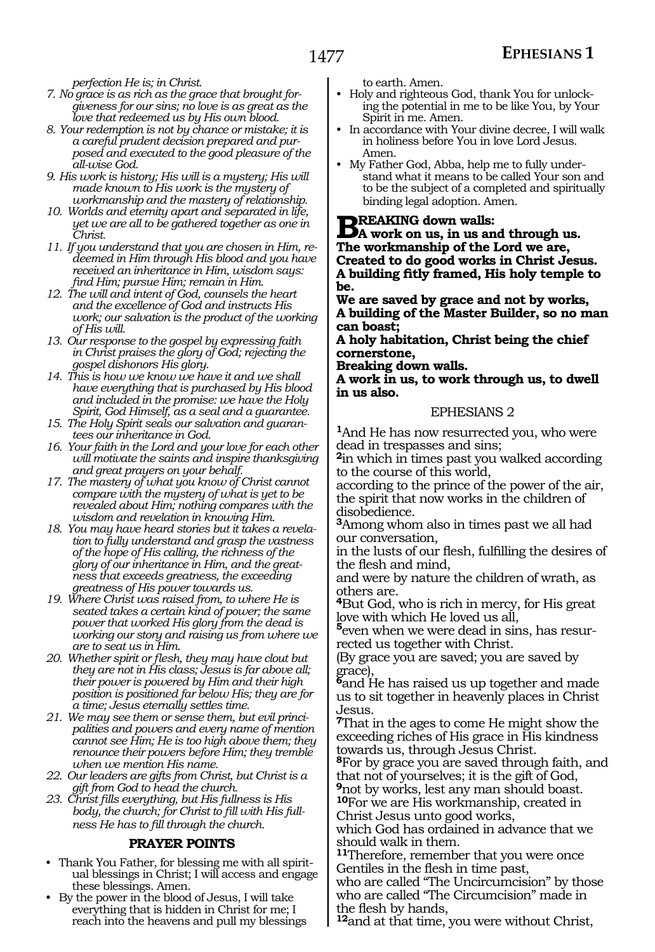*perfection He is; in Christ.*

- *7. No grace is as rich as the grace that brought forgiveness for our sins; no love is as great as the love that redeemed us by His own blood.*
- *8. Your redemption is not by chance or mistake; it is a careful prudent decision prepared and purposed and executed to the good pleasure of the all-wise God.*
- *9. His work is history; His will is a mystery; His will made known to His work is the mystery of workmanship and the mastery of relationship.*
- *10. Worlds and eternity apart and separated in life, yet we are all to be gathered together as one in Christ.*
- *11. If you understand that you are chosen in Him, redeemed in Him through His blood and you have received an inheritance in Him, wisdom says: find Him; pursue Him; remain in Him.*
- *12. The will and intent of God, counsels the heart and the excellence of God and instructs His work; our salvation is the product of the working of His will.*
- *13. Our response to the gospel by expressing faith in Christ praises the glory of God; rejecting the gospel dishonors His glory.*
- *14. This is how we know we have it and we shall have everything that is purchased by His blood and included in the promise: we have the Holy Spirit, God Himself, as a seal and a guarantee.*
- *15. The Holy Spirit seals our salvation and guarantees our inheritance in God.*
- *16. Your faith in the Lord and your love for each other will motivate the saints and inspire thanksgiving and great prayers on your behalf.*
- *17. The mastery of what you know of Christ cannot compare with the mystery of what is yet to be revealed about Him; nothing compares with the wisdom and revelation in knowing Him.*
- *18. You may have heard stories but it takes a revelation to fully understand and grasp the vastness of the hope of His calling, the richness of the glory of our inheritance in Him, and the greatness that exceeds greatness, the exceeding greatness of His power towards us.*
- *19. Where Christ was raised from, to where He is seated takes a certain kind of power; the same power that worked His glory from the dead is working our story and raising us from where we are to seat us in Him.*
- *20. Whether spirit or flesh, they may have clout but they are not in His class; Jesus is far above all; their power is powered by Him and their high position is positioned far below His; they are for a time; Jesus eternally settles time.*
- *21. We may see them or sense them, but evil principalities and powers and every name of mention cannot see Him; He is too high above them; they renounce their powers before Him; they tremble when we mention His name.*
- *22. Our leaders are gifts from Christ, but Christ is a gift from God to head the church.*
- *23. Christ fills everything, but His fullness is His body, the church; for Christ to fill with His fullness He has to fill through the church.*

#### **PRAYER POINTS**

- Thank You Father, for blessing me with all spiritual blessings in Christ; I will access and engage these blessings. Amen.
- By the power in the blood of Jesus, I will take everything that is hidden in Christ for me; I reach into the heavens and pull my blessings

to earth. Amen.

- Holy and righteous God, thank You for unlocking the potential in me to be like You, by Your Spirit in me. Amen.
- In accordance with Your divine decree, I will walk in holiness before You in love Lord Jesus. Amen.
- My Father God, Abba, help me to fully understand what it means to be called Your son and to be the subject of a completed and spiritually binding legal adoption. Amen.

**BREAKING down walls:**<br> **BA** work on us, in us and through us. **The workmanship of the Lord we are, Created to do good works in Christ Jesus. A building fitly framed, His holy temple to be.**

**We are saved by grace and not by works, A building of the Master Builder, so no man can boast;**

**A holy habitation, Christ being the chief cornerstone,**

**Breaking down walls.**

**A work in us, to work through us, to dwell in us also.**

#### EPHESIANS 2

**<sup>1</sup>**And He has now resurrected you, who were dead in trespasses and sins;

**<sup>2</sup>**in which in times past you walked according to the course of this world,

according to the prince of the power of the air, the spirit that now works in the children of disobedience.

**<sup>3</sup>**Among whom also in times past we all had our conversation,

in the lusts of our flesh, fulfilling the desires of the flesh and mind,

and were by nature the children of wrath, as others are.

**<sup>4</sup>**But God, who is rich in mercy, for His great love with which He loved us all,

 $\overline{5}$ even when we were dead in sins, has resurrected us together with Christ.

(By grace you are saved; you are saved by grace),

**<sup>6</sup>**and He has raised us up together and made us to sit together in heavenly places in Christ Jesus.

**<sup>7</sup>**That in the ages to come He might show the exceeding riches of His grace in His kindness towards us, through Jesus Christ.

**<sup>8</sup>**For by grace you are saved through faith, and that not of yourselves; it is the gift of God,

**<sup>9</sup>**not by works, lest any man should boast. **<sup>10</sup>**For we are His workmanship, created in Christ Jesus unto good works,

which God has ordained in advance that we should walk in them.

**<sup>11</sup>**Therefore, remember that you were once Gentiles in the flesh in time past, who are called "The Uncircumcision" by those

who are called "The Circumcision" made in the flesh by hands,

**<sup>12</sup>**and at that time, you were without Christ,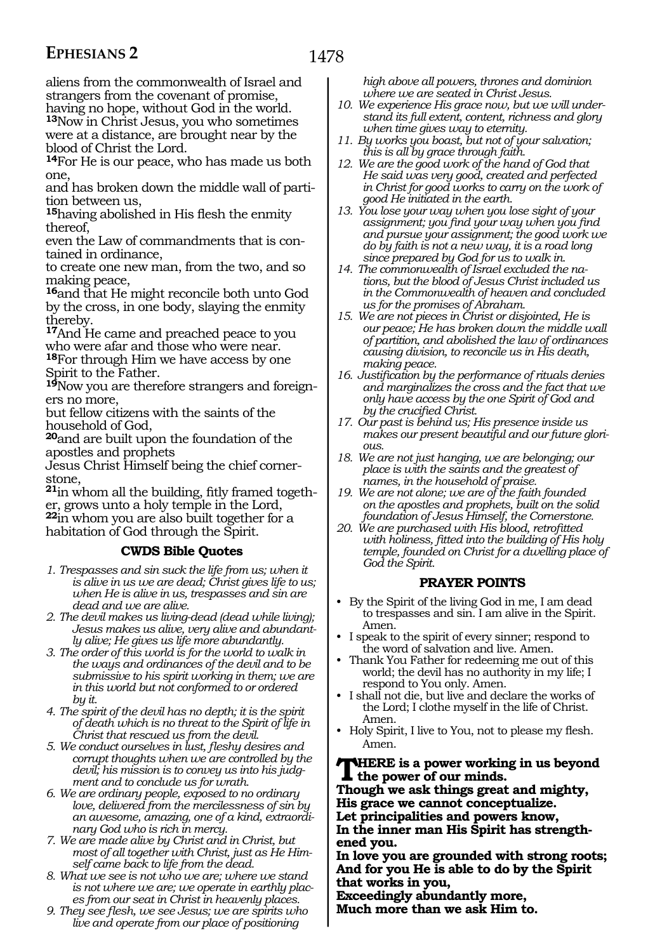aliens from the commonwealth of Israel and strangers from the covenant of promise, having no hope, without God in the world. **<sup>13</sup>**Now in Christ Jesus, you who sometimes were at a distance, are brought near by the blood of Christ the Lord.

**<sup>14</sup>**For He is our peace, who has made us both one,

and has broken down the middle wall of partition between us,

**<sup>15</sup>**having abolished in His flesh the enmity thereof,

even the Law of commandments that is con- tained in ordinance,

to create one new man, from the two, and so making peace,

**<sup>16</sup>**and that He might reconcile both unto God by the cross, in one body, slaying the enmity thereby.

**<sup>17</sup>**And He came and preached peace to you who were afar and those who were near. **<sup>18</sup>**For through Him we have access by one Spirit to the Father.

**19**Now you are therefore strangers and foreigners no more,

but fellow citizens with the saints of the household of God,

**<sup>20</sup>**and are built upon the foundation of the apostles and prophets

Jesus Christ Himself being the chief cornerstone,

**21**in whom all the building, fitly framed together, grows unto a holy temple in the Lord, **<sup>22</sup>**in whom you are also built together for a habitation of God through the Spirit.

#### **CWDS Bible Quotes**

- *1. Trespasses and sin suck the life from us; when it is alive in us we are dead; Christ gives life to us; when He is alive in us, trespasses and sin are dead and we are alive.*
- *2. The devil makes us living-dead (dead while living); Jesus makes us alive, very alive and abundantly alive; He gives us life more abundantly.*
- *3. The order of this world is for the world to walk in the ways and ordinances of the devil and to be submissive to his spirit working in them; we are in this world but not conformed to or ordered by it.*
- *4. The spirit of the devil has no depth; it is the spirit of death which is no threat to the Spirit of life in Christ that rescued us from the devil.*
- *5. We conduct ourselves in lust, fleshy desires and corrupt thoughts when we are controlled by the devil; his mission is to convey us into his judgment and to conclude us for wrath.*
- *6. We are ordinary people, exposed to no ordinary love, delivered from the mercilessness of sin by an awesome, amazing, one of a kind, extraordinary God who is rich in mercy.*
- *7. We are made alive by Christ and in Christ, but most of all together with Christ, just as He Himself came back to life from the dead.*
- *8. What we see is not who we are; where we stand is not where we are; we operate in earthly places from our seat in Christ in heavenly places.*
- *9. They see flesh, we see Jesus; we are spirits who live and operate from our place of positioning*

*high above all powers, thrones and dominion where we are seated in Christ Jesus.*

- *10. We experience His grace now, but we will understand its full extent, content, richness and glory when time gives way to eternity.*
- *11. By works you boast, but not of your salvation; this is all by grace through faith.*
- *12. We are the good work of the hand of God that He said was very good, created and perfected in Christ for good works to carry on the work of good He initiated in the earth.*
- *13. You lose your way when you lose sight of your assignment; you find your way when you find and pursue your assignment; the good work we do by faith is not a new way, it is a road long since prepared by God for us to walk in.*
- *14. The commonwealth of Israel excluded the nations, but the blood of Jesus Christ included us in the Commonwealth of heaven and concluded us for the promises of Abraham.*
- *15. We are not pieces in Christ or disjointed, He is our peace; He has broken down the middle wall of partition, and abolished the law of ordinances causing division, to reconcile us in His death, making peace.*
- *16. Justification by the performance of rituals denies and marginalizes the cross and the fact that we only have access by the one Spirit of God and by the crucified Christ.*
- *17. Our past is behind us; His presence inside us makes our present beautiful and our future glorious.*
- *18. We are not just hanging, we are belonging; our place is with the saints and the greatest of names, in the household of praise.*
- *19. We are not alone; we are of the faith founded on the apostles and prophets, built on the solid foundation of Jesus Himself, the Cornerstone.*
- *20. We are purchased with His blood, retrofitted with holiness, fitted into the building of His holy temple, founded on Christ for a dwelling place of God the Spirit.*

#### **PRAYER POINTS**

- By the Spirit of the living God in me, I am dead to trespasses and sin. I am alive in the Spirit. Amen.
- I speak to the spirit of every sinner; respond to the word of salvation and live. Amen.
- Thank You Father for redeeming me out of this world; the devil has no authority in my life; I respond to You only. Amen.
- I shall not die, but live and declare the works of the Lord; I clothe myself in the life of Christ. Amen.
- Holy Spirit, I live to You, not to please my flesh. Amen.

**There is a power working in us beyond the power of our minds.**

**Though we ask things great and mighty, His grace we cannot conceptualize.**

**Let principalities and powers know,**

**In the inner man His Spirit has strength- ened you.**

**In love you are grounded with strong roots; And for you He is able to do by the Spirit that works in you,**

**Exceedingly abundantly more, Much more than we ask Him to.**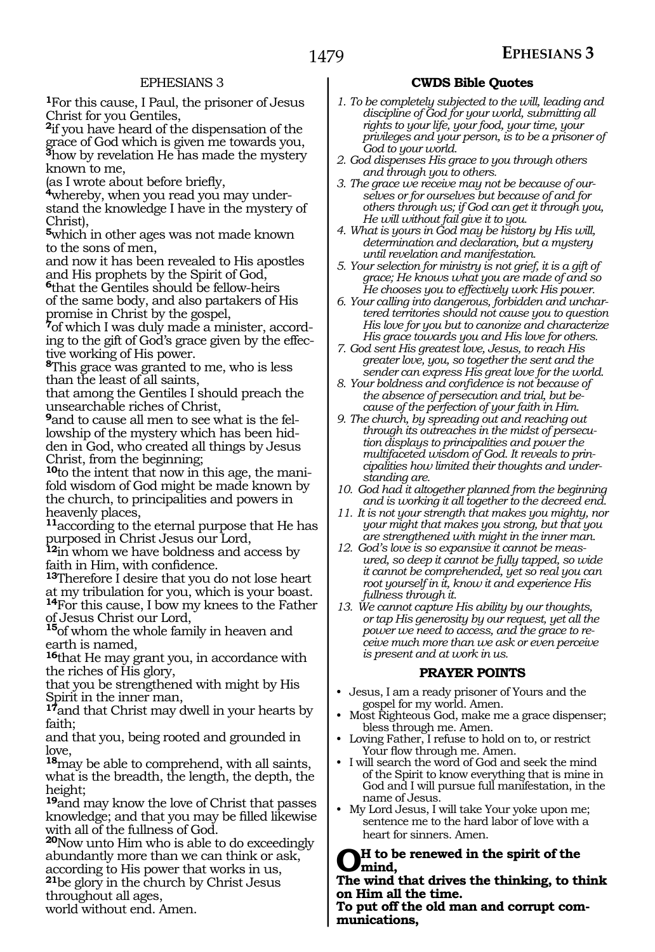**<sup>1</sup>**For this cause, I Paul, the prisoner of Jesus Christ for you Gentiles,

**<sup>2</sup>**if you have heard of the dispensation of the grace of God which is given me towards you, **<sup>3</sup>**how by revelation He has made the mystery known to me,

(as I wrote about before briefly,

**4**whereby, when you read you may understand the knowledge I have in the mystery of Christ),

**<sup>5</sup>**which in other ages was not made known to the sons of men,

and now it has been revealed to His apostles and His prophets by the Spirit of God,

**<sup>6</sup>**that the Gentiles should be fellow-heirs of the same body, and also partakers of His promise in Christ by the gospel,

**7**of which I was duly made a minister, according to the gift of God's grace given by the effective working of His power.

**<sup>8</sup>**This grace was granted to me, who is less than the least of all saints,

that among the Gentiles I should preach the unsearchable riches of Christ,

**9**and to cause all men to see what is the fellowship of the mystery which has been hidden in God, who created all things by Jesus Christ, from the beginning;

**10**to the intent that now in this age, the manifold wisdom of God might be made known by the church, to principalities and powers in heavenly places,

**<sup>11</sup>**according to the eternal purpose that He has purposed in Christ Jesus our Lord,

**<sup>12</sup>**in whom we have boldness and access by faith in Him, with confidence.

**<sup>13</sup>**Therefore I desire that you do not lose heart at my tribulation for you, which is your boast.

**<sup>14</sup>**For this cause, I bow my knees to the Father of Jesus Christ our Lord, **<sup>15</sup>**of whom the whole family in heaven and

earth is named,

**<sup>16</sup>**that He may grant you, in accordance with the riches of His glory,

that you be strengthened with might by His Spirit in the inner man,

**<sup>17</sup>**and that Christ may dwell in your hearts by faith;

and that you, being rooted and grounded in love,

**<sup>18</sup>**may be able to comprehend, with all saints, what is the breadth, the length, the depth, the height;

**<sup>19</sup>**and may know the love of Christ that passes knowledge; and that you may be filled likewise with all of the fullness of God.

**<sup>20</sup>**Now unto Him who is able to do exceedingly abundantly more than we can think or ask, according to His power that works in us, **<sup>21</sup>**be glory in the church by Christ Jesus throughout all ages,

world without end. Amen.

#### **CWDS Bible Quotes**

- *1. To be completely subjected to the will, leading and discipline of God for your world, submitting all rights to your life, your food, your time, your privileges and your person, is to be a prisoner of God to your world.*
- *2. God dispenses His grace to you through others and through you to others.*
- *3. The grace we receive may not be because of ourselves or for ourselves but because of and for others through us; if God can get it through you, He will without fail give it to you.*
- *4. What is yours in God may be history by His will, determination and declaration, but a mystery until revelation and manifestation.*
- *5. Your selection for ministry is not grief, it is a gift of grace; He knows what you are made of and so He chooses you to effectively work His power.*
- *6. Your calling into dangerous, forbidden and unchartered territories should not cause you to question His love for you but to canonize and characterize His grace towards you and His love for others.*
- *7. God sent His greatest love, Jesus, to reach His greater love, you, so together the sent and the sender can express His great love for the world.*
- *8. Your boldness and confidence is not because of the absence of persecution and trial, but because of the perfection of your faith in Him.*
- *9. The church, by spreading out and reaching out through its outreaches in the midst of persecution displays to principalities and power the multifaceted wisdom of God. It reveals to principalities how limited their thoughts and understanding are.*
- *10. God had it altogether planned from the beginning and is working it all together to the decreed end.*
- *11. It is not your strength that makes you mighty, nor your might that makes you strong, but that you are strengthened with might in the inner man.*
- *12. God's love is so expansive it cannot be measured, so deep it cannot be fully tapped, so wide it cannot be comprehended, yet so real you can root yourself in it, know it and experience His fullness through it.*
- *13. We cannot capture His ability by our thoughts, or tap His generosity by our request, yet all the power we need to access, and the grace to receive much more than we ask or even perceive is present and at work in us.*

#### **PRAYER POINTS**

- Jesus, I am a ready prisoner of Yours and the gospel for my world. Amen.
- Most Righteous God, make me a grace dispenser; bless through me. Amen.
- Loving Father, I refuse to hold on to, or restrict Your flow through me. Amen.
- I will search the word of God and seek the mind of the Spirit to know everything that is mine in God and I will pursue full manifestation, in the name of Jesus.
- My Lord Jesus, I will take Your yoke upon me; sentence me to the hard labor of love with a heart for sinners. Amen.

**Oh to be renewed in the spirit of the mind,** 

**The wind that drives the thinking, to think on Him all the time.** 

**To put off the old man and corrupt com- munications,**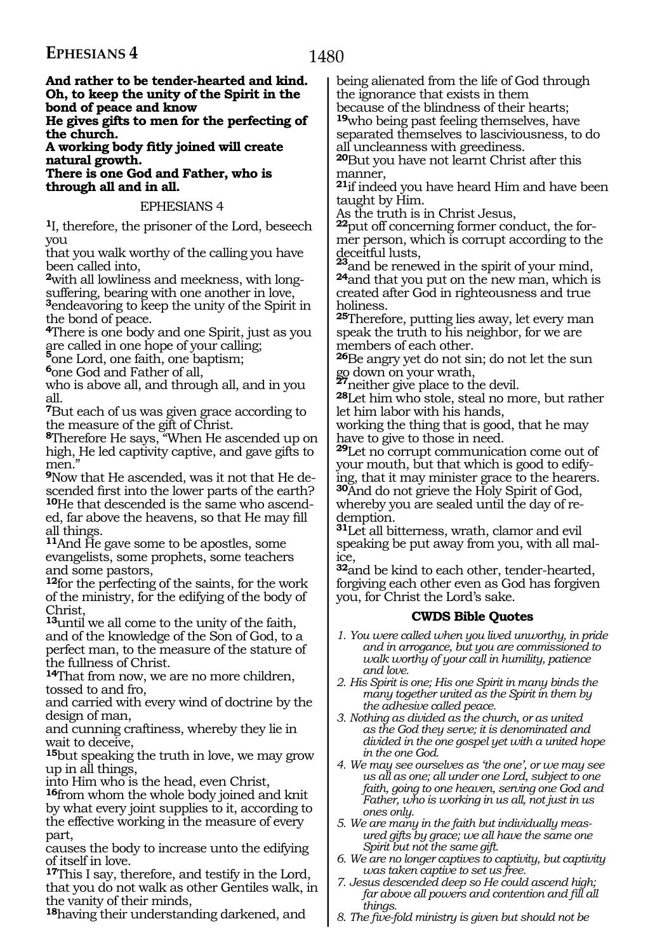1480

**And rather to be tender-hearted and kind. Oh, to keep the unity of the Spirit in the bond of peace and know** 

**He gives gifts to men for the perfecting of the church.** 

**A working body fitly joined will create natural growth.**

**There is one God and Father, who is through all and in all.** 

#### EPHESIANS 4

**<sup>1</sup>**I, therefore, the prisoner of the Lord, beseech you

that you walk worthy of the calling you have been called into,

**2**with all lowliness and meekness, with longsuffering, bearing with one another in love,

**<sup>3</sup>**endeavoring to keep the unity of the Spirit in the bond of peace.

**<sup>4</sup>**There is one body and one Spirit, just as you are called in one hope of your calling; **<sup>5</sup>**one Lord, one faith, one baptism;

**<sup>6</sup>**one God and Father of all,

who is above all, and through all, and in you all.

**<sup>7</sup>**But each of us was given grace according to the measure of the gift of Christ.

**<sup>8</sup>**Therefore He says, "When He ascended up on high, He led captivity captive, and gave gifts to men."

**9**Now that He ascended, was it not that He descended first into the lower parts of the earth? **10**He that descended is the same who ascend-

ed, far above the heavens, so that He may fill all things.

**<sup>11</sup>**And He gave some to be apostles, some evangelists, some prophets, some teachers and some pastors,

**<sup>12</sup>**for the perfecting of the saints, for the work of the ministry, for the edifying of the body of Christ,

**<sup>13</sup>**until we all come to the unity of the faith, and of the knowledge of the Son of God, to a perfect man, to the measure of the stature of the fullness of Christ.

**<sup>14</sup>**That from now, we are no more children, tossed to and fro,

and carried with every wind of doctrine by the design of man,

and cunning craftiness, whereby they lie in wait to deceive,

**<sup>15</sup>**but speaking the truth in love, we may grow up in all things,

into Him who is the head, even Christ,

**<sup>16</sup>**from whom the whole body joined and knit by what every joint supplies to it, according to the effective working in the measure of every part,

causes the body to increase unto the edifying of itself in love.

**<sup>17</sup>**This I say, therefore, and testify in the Lord, that you do not walk as other Gentiles walk, in the vanity of their minds,

**<sup>18</sup>**having their understanding darkened, and

being alienated from the life of God through the ignorance that exists in them because of the blindness of their hearts;

**<sup>19</sup>**who being past feeling themselves, have separated themselves to lasciviousness, to do all uncleanness with greediness.

**<sup>20</sup>**But you have not learnt Christ after this manner,

**<sup>21</sup>**if indeed you have heard Him and have been taught by Him.

As the truth is in Christ Jesus,

**<sup>22</sup>**put off concerning former conduct, the for- mer person, which is corrupt according to the

deceitful lusts, **<sup>23</sup>**and be renewed in the spirit of your mind, **24**and that you put on the new man, which is <sup>24</sup> and that you put on the new man, which is<br>created after God in righteousness and true holiness.

**<sup>25</sup>**Therefore, putting lies away, let every man speak the truth to his neighbor, for we are members of each other.

**<sup>26</sup>**Be angry yet do not sin; do not let the sun go down on your wrath,<br>**President** private to the devil.

**28**Let him who stole, steal no more, but rather let him labor with his hands,

working the thing that is good, that he may have to give to those in need.

**<sup>29</sup>**Let no corrupt communication come out of your mouth, but that which is good to edifying, that it may minister grace to the hearers. **<sup>30</sup>**And do not grieve the Holy Spirit of God, whereby you are sealed until the day of redemption.

**<sup>31</sup>**Let all bitterness, wrath, clamor and evil speaking be put away from you, with all malice,

**<sup>32</sup>**and be kind to each other, tender-hearted, forgiving each other even as God has forgiven you, for Christ the Lord's sake.

#### **CWDS Bible Quotes**

- *1. You were called when you lived unworthy, in pride and in arrogance, but you are commissioned to walk worthy of your call in humility, patience and love.*
- *2. His Spirit is one; His one Spirit in many binds the many together united as the Spirit in them by the adhesive called peace.*
- *3. Nothing as divided as the church, or as united as the God they serve; it is denominated and divided in the one gospel yet with a united hope in the one God.*
- *4. We may see ourselves as 'the one', or we may see us all as one; all under one Lord, subject to one faith, going to one heaven, serving one God and Father, who is working in us all, not just in us ones only.*
- *5. We are many in the faith but individually measured gifts by grace; we all have the same one Spirit but not the same gift.*
- *6. We are no longer captives to captivity, but captivity was taken captive to set us free.*
- *7. Jesus descended deep so He could ascend high; far above all powers and contention and fill all things.*
- *8. The five-fold ministry is given but should not be*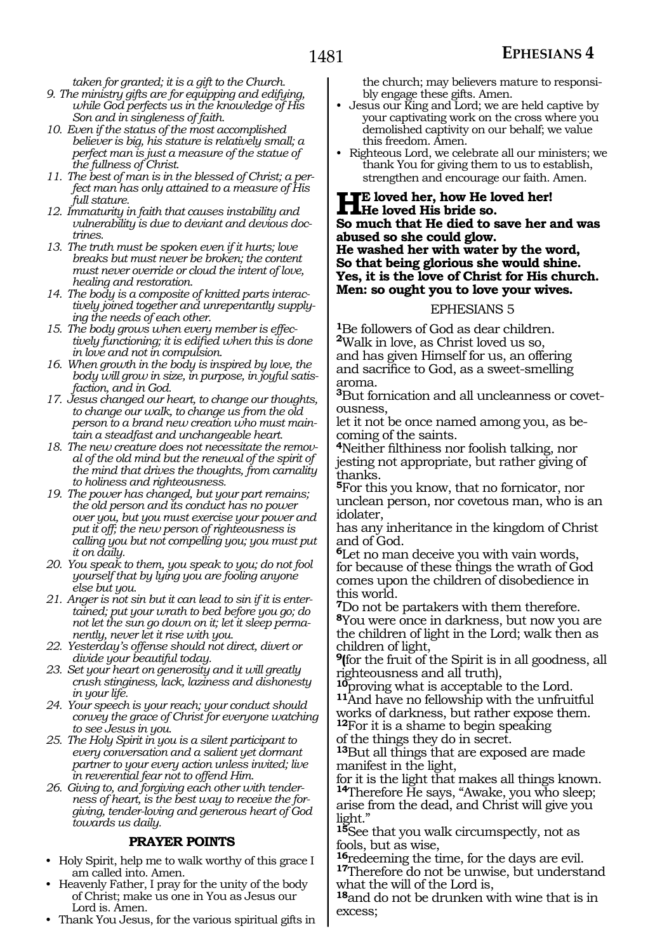*taken for granted; it is a gift to the Church.*

- *9. The ministry gifts are for equipping and edifying, while God perfects us in the knowledge of His Son and in singleness of faith.*
- *10. Even if the status of the most accomplished believer is big, his stature is relatively small; a perfect man is just a measure of the statue of the fullness of Christ.*
- *11. The best of man is in the blessed of Christ; a perfect man has only attained to a measure of His full stature.*
- *12. Immaturity in faith that causes instability and vulnerability is due to deviant and devious doctrines.*
- *13. The truth must be spoken even if it hurts; love breaks but must never be broken; the content must never override or cloud the intent of love, healing and restoration.*
- *14. The body is a composite of knitted parts interactively joined together and unrepentantly supplying the needs of each other.*
- *15. The body grows when every member is effectively functioning; it is edified when this is done in love and not in compulsion.*
- *16. When growth in the body is inspired by love, the body will grow in size, in purpose, in joyful satisfaction, and in God.*
- *17. Jesus changed our heart, to change our thoughts, to change our walk, to change us from the old person to a brand new creation who must maintain a steadfast and unchangeable heart.*
- *18. The new creature does not necessitate the removal of the old mind but the renewal of the spirit of the mind that drives the thoughts, from carnality to holiness and righteousness.*
- *19. The power has changed, but your part remains; the old person and its conduct has no power over you, but you must exercise your power and put it off; the new person of righteousness is calling you but not compelling you; you must put it on daily.*
- *20. You speak to them, you speak to you; do not fool yourself that by lying you are fooling anyone else but you.*
- *21. Anger is not sin but it can lead to sin if it is entertained; put your wrath to bed before you go; do not let the sun go down on it; let it sleep permanently, never let it rise with you.*
- *22. Yesterday's offense should not direct, divert or divide your beautiful today.*
- *23. Set your heart on generosity and it will greatly crush stinginess, lack, laziness and dishonesty in your life.*
- *24. Your speech is your reach; your conduct should convey the grace of Christ for everyone watching to see Jesus in you.*
- *25. The Holy Spirit in you is a silent participant to every conversation and a salient yet dormant partner to your every action unless invited; live in reverential fear not to offend Him.*
- *26. Giving to, and forgiving each other with tenderness of heart, is the best way to receive the forgiving, tender-loving and generous heart of God towards us daily.*

#### **PRAYER POINTS**

- Holy Spirit, help me to walk worthy of this grace I am called into. Amen.
- Heavenly Father, I pray for the unity of the body of Christ; make us one in You as Jesus our Lord is. Amen.
- Thank You Jesus, for the various spiritual gifts in

the church; may believers mature to responsibly engage these gifts. Amen.

- Jesus our King and Lord; we are held captive by your captivating work on the cross where you demolished captivity on our behalf; we value this freedom. Amen.
- Righteous Lord, we celebrate all our ministers; we thank You for giving them to us to establish, strengthen and encourage our faith. Amen.

# **He loved her, how He loved her! He loved His bride so. So much that He died to save her and was abused so she could glow.**

**He washed her with water by the word, So that being glorious she would shine. Yes, it is the love of Christ for His church. Men: so ought you to love your wives.**

#### EPHESIANS 5

**<sup>1</sup>**Be followers of God as dear children. **<sup>2</sup>**Walk in love, as Christ loved us so, and has given Himself for us, an offering

and sacrifice to God, as a sweet-smelling aroma.

**3**But fornication and all uncleanness or covetousness,

let it not be once named among you, as becoming of the saints.

**<sup>4</sup>**Neither filthiness nor foolish talking, nor jesting not appropriate, but rather giving of thanks.

**<sup>5</sup>**For this you know, that no fornicator, nor unclean person, nor covetous man, who is an idolater,

has any inheritance in the kingdom of Christ and of God.

**<sup>6</sup>**Let no man deceive you with vain words, for because of these things the wrath of God comes upon the children of disobedience in this world.

**<sup>7</sup>**Do not be partakers with them therefore. **<sup>8</sup>**You were once in darkness, but now you are the children of light in the Lord; walk then as children of light,

**9(**for the fruit of the Spirit is in all goodness, all righteousness and all truth),<br>10 proving what is acceptable

**<sup>10</sup>**proving what is acceptable to the Lord. **<sup>11</sup>**And have no fellowship with the unfruitful works of darkness, but rather expose them. **<sup>12</sup>**For it is a shame to begin speaking

of the things they do in secret.

**<sup>13</sup>**But all things that are exposed are made manifest in the light,

for it is the light that makes all things known. **<sup>14</sup>**Therefore He says, "Awake, you who sleep;

arise from the dead, and Christ will give you light."

**<sup>15</sup>**See that you walk circumspectly, not as

fools, but as wise,<br><sup>16</sup>redeeming the time, for the days are evil. **17**Therefore do not be unwise, but understand what the will of the Lord is,

**<sup>18</sup>**and do not be drunken with wine that is in excess;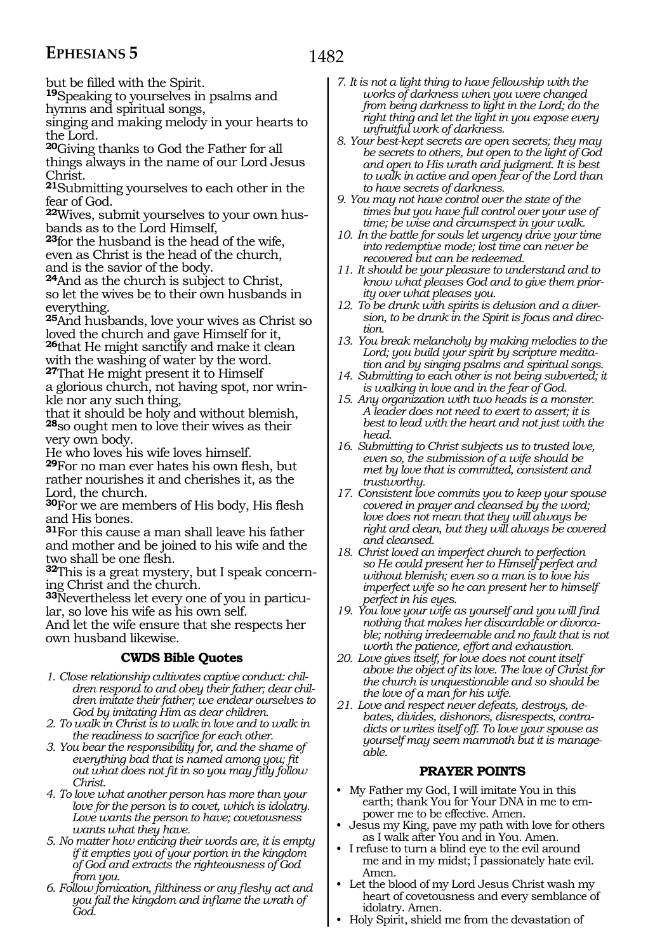1482

but be filled with the Spirit.

**<sup>19</sup>**Speaking to yourselves in psalms and hymns and spiritual songs,

singing and making melody in your hearts to the Lord.

**<sup>20</sup>**Giving thanks to God the Father for all things always in the name of our Lord Jesus Christ.

**<sup>21</sup>**Submitting yourselves to each other in the fear of God.

**22**Wives, submit yourselves to your own husbands as to the Lord Himself,

**<sup>23</sup>**for the husband is the head of the wife, even as Christ is the head of the church, and is the savior of the body.

**<sup>24</sup>**And as the church is subject to Christ, so let the wives be to their own husbands in everything.

**<sup>25</sup>**And husbands, love your wives as Christ so loved the church and gave Himself for it,

**<sup>26</sup>**that He might sanctify and make it clean with the washing of water by the word. **<sup>27</sup>**That He might present it to Himself

a glorious church, not having spot, nor wrinkle nor any such thing,

that it should be holy and without blemish, **<sup>28</sup>**so ought men to love their wives as their very own body.

He who loves his wife loves himself.

**<sup>29</sup>**For no man ever hates his own flesh, but rather nourishes it and cherishes it, as the Lord, the church.

**<sup>30</sup>**For we are members of His body, His flesh and His bones.

**<sup>31</sup>**For this cause a man shall leave his father and mother and be joined to his wife and the two shall be one flesh.

**<sup>32</sup>**This is a great mystery, but I speak concern- ing Christ and the church.

**<sup>33</sup>**Nevertheless let every one of you in particu- lar, so love his wife as his own self.

And let the wife ensure that she respects her own husband likewise.

#### **CWDS Bible Quotes**

- *1. Close relationship cultivates captive conduct: children respond to and obey their father; dear children imitate their father; we endear ourselves to God by imitating Him as dear children.*
- *2. To walk in Christ is to walk in love and to walk in the readiness to sacrifice for each other.*
- *3. You bear the responsibility for, and the shame of everything bad that is named among you; fit out what does not fit in so you may fitly follow Christ.*
- *4. To love what another person has more than your love for the person is to covet, which is idolatry. Love wants the person to have; covetousness wants what they have.*
- *5. No matter how enticing their words are, it is empty if it empties you of your portion in the kingdom of God and extracts the righteousness of God from you.*
- *6. Follow fornication, filthiness or any fleshy act and you fail the kingdom and inflame the wrath of God.*
- *7. It is not a light thing to have fellowship with the works of darkness when you were changed from being darkness to light in the Lord; do the right thing and let the light in you expose every unfruitful work of darkness.*
- *8. Your best-kept secrets are open secrets; they may be secrets to others, but open to the light of God and open to His wrath and judgment. It is best to walk in active and open fear of the Lord than to have secrets of darkness.*
- *9. You may not have control over the state of the times but you have full control over your use of time; be wise and circumspect in your walk.*
- *10. In the battle for souls let urgency drive your time into redemptive mode; lost time can never be recovered but can be redeemed.*
- *11. It should be your pleasure to understand and to know what pleases God and to give them priority over what pleases you.*
- *12. To be drunk with spirits is delusion and a diversion, to be drunk in the Spirit is focus and direction.*
- *13. You break melancholy by making melodies to the Lord; you build your spirit by scripture meditation and by singing psalms and spiritual songs.*
- *14. Submitting to each other is not being subverted; it is walking in love and in the fear of God.*
- *15. Any organization with two heads is a monster. A leader does not need to exert to assert; it is best to lead with the heart and not just with the head.*
- *16. Submitting to Christ subjects us to trusted love, even so, the submission of a wife should be met by love that is committed, consistent and trustworthy.*
- *17. Consistent love commits you to keep your spouse covered in prayer and cleansed by the word; love does not mean that they will always be right and clean, but they will always be covered and cleansed.*
- *18. Christ loved an imperfect church to perfection so He could present her to Himself perfect and without blemish; even so a man is to love his imperfect wife so he can present her to himself perfect in his eyes.*
- *19. You love your wife as yourself and you will find nothing that makes her discardable or divorcable; nothing irredeemable and no fault that is not worth the patience, effort and exhaustion.*
- *20. Love gives itself, for love does not count itself above the object of its love. The love of Christ for the church is unquestionable and so should be the love of a man for his wife.*
- *21. Love and respect never defeats, destroys, debates, divides, dishonors, disrespects, contradicts or writes itself off. To love your spouse as yourself may seem mammoth but it is manageable.*

#### **PRAYER POINTS**

- My Father my God, I will imitate You in this earth; thank You for Your DNA in me to empower me to be effective. Amen.
- Jesus my King, pave my path with love for others as I walk after You and in You. Amen.
- I refuse to turn a blind eye to the evil around me and in my midst;  $\tilde{I}$  passionately hate evil. Amen.
- Let the blood of my Lord Jesus Christ wash my heart of covetousness and every semblance of idolatry. Amen.
- Holy Spirit, shield me from the devastation of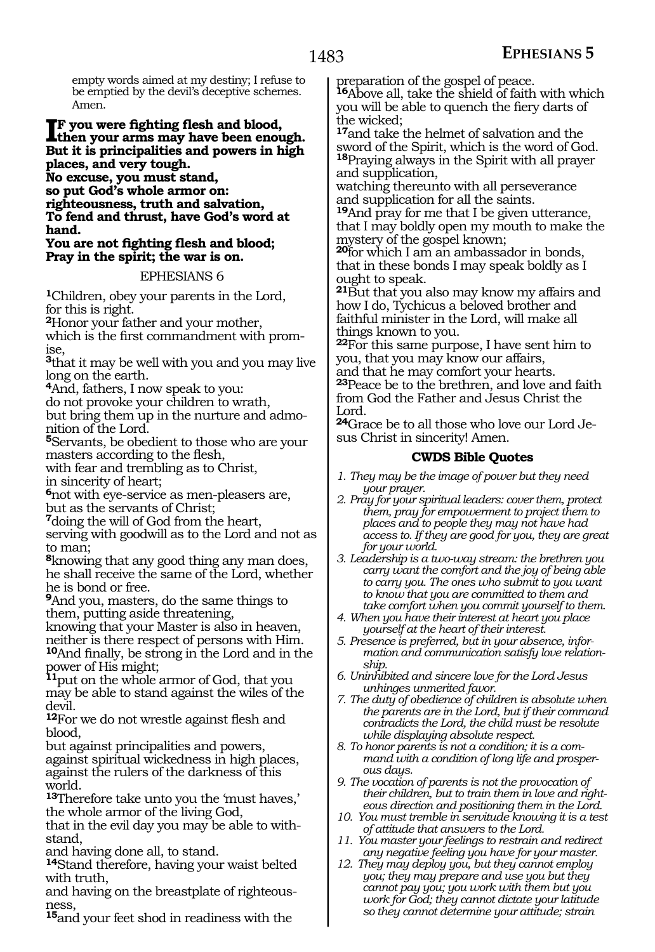empty words aimed at my destiny; I refuse to be emptied by the devil's deceptive schemes. Amen.

#### **I**F you were fighting flesh and blood,<br>then your arms may have been enou **then your arms may have been enough. But it is principalities and powers in high places, and very tough.**

**No excuse, you must stand, so put God's whole armor on: righteousness, truth and salvation, To fend and thrust, have God's word at hand.** 

#### **You are not fighting flesh and blood; Pray in the spirit; the war is on.**

#### EPHESIANS 6

**<sup>1</sup>**Children, obey your parents in the Lord, for this is right.

**<sup>2</sup>**Honor your father and your mother,

which is the first commandment with promise,

**<sup>3</sup>**that it may be well with you and you may live long on the earth.

**<sup>4</sup>**And, fathers, I now speak to you:

do not provoke your children to wrath,

but bring them up in the nurture and admonition of the Lord.

**<sup>5</sup>**Servants, be obedient to those who are your masters according to the flesh,

with fear and trembling as to Christ,

in sincerity of heart;

**<sup>6</sup>**not with eye-service as men-pleasers are, but as the servants of Christ;

**<sup>7</sup>**doing the will of God from the heart,

serving with goodwill as to the Lord and not as to man;

**<sup>8</sup>**knowing that any good thing any man does, he shall receive the same of the Lord, whether he is bond or free.

**<sup>9</sup>**And you, masters, do the same things to them, putting aside threatening,

knowing that your Master is also in heaven, neither is there respect of persons with Him.

**<sup>10</sup>**And finally, be strong in the Lord and in the power of His might;

**<sup>11</sup>**put on the whole armor of God, that you may be able to stand against the wiles of the devil.

**<sup>12</sup>**For we do not wrestle against flesh and blood,

but against principalities and powers, against spiritual wickedness in high places, against the rulers of the darkness of this world.

**<sup>13</sup>**Therefore take unto you the 'must haves,' the whole armor of the living God,

that in the evil day you may be able to withstand,

and having done all, to stand.

**<sup>14</sup>**Stand therefore, having your waist belted with truth,

and having on the breastplate of righteousness,

**<sup>15</sup>**and your feet shod in readiness with the

preparation of the gospel of peace.

**<sup>16</sup>**Above all, take the shield of faith with which you will be able to quench the fiery darts of the wicked;

**<sup>17</sup>**and take the helmet of salvation and the sword of the Spirit, which is the word of God. **<sup>18</sup>**Praying always in the Spirit with all prayer and supplication,

watching thereunto with all perseverance and supplication for all the saints.

**<sup>19</sup>**And pray for me that I be given utterance, that I may boldly open my mouth to make the mystery of the gospel known;

**<sup>20</sup>**for which I am an ambassador in bonds, that in these bonds I may speak boldly as I ought to speak.

**<sup>21</sup>**But that you also may know my affairs and how I do, Tychicus a beloved brother and faithful minister in the Lord, will make all things known to you.

**<sup>22</sup>**For this same purpose, I have sent him to you, that you may know our affairs,

and that he may comfort your hearts. **<sup>23</sup>**Peace be to the brethren, and love and faith from God the Father and Jesus Christ the Lord.

**24**Grace be to all those who love our Lord Jesus Christ in sincerity! Amen.

### **CWDS Bible Quotes**

*1. They may be the image of power but they need your prayer.*

- *2. Pray for your spiritual leaders: cover them, protect them, pray for empowerment to project them to places and to people they may not have had access to. If they are good for you, they are great for your world.*
- *3. Leadership is a two-way stream: the brethren you carry want the comfort and the joy of being able to carry you. The ones who submit to you want to know that you are committed to them and take comfort when you commit yourself to them.*
- *4. When you have their interest at heart you place yourself at the heart of their interest.*
- *5. Presence is preferred, but in your absence, information and communication satisfy love relationship.*
- *6. Uninhibited and sincere love for the Lord Jesus unhinges unmerited favor.*
- *7. The duty of obedience of children is absolute when the parents are in the Lord, but if their command contradicts the Lord, the child must be resolute while displaying absolute respect.*
- *8. To honor parents is not a condition; it is a command with a condition of long life and prosperous days.*
- *9. The vocation of parents is not the provocation of their children, but to train them in love and righteous direction and positioning them in the Lord.*
- *10. You must tremble in servitude knowing it is a test of attitude that answers to the Lord.*
- *11. You master your feelings to restrain and redirect any negative feeling you have for your master.*
- *12. They may deploy you, but they cannot employ you; they may prepare and use you but they cannot pay you; you work with them but you work for God; they cannot dictate your latitude so they cannot determine your attitude; strain*